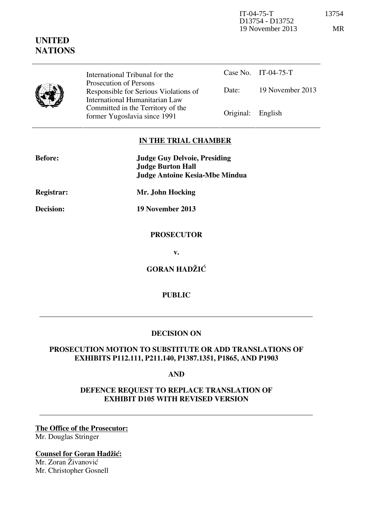IT-04-75-T 13754 D13754 - D13752 19 November 2013 MR

| <b>NATIONS</b> |  |
|----------------|--|
|                |  |



**UNITED** 

International Tribunal for the Prosecution of Persons Responsible for Serious Violations of International Humanitarian Law Committed in the Territory of the Former Yugoslavia since 1991 **Original:** English

Case No. IT-04-75-T Date: 19 November 2013

## **IN THE TRIAL CHAMBER**

| <b>Before:</b> | <b>Judge Guy Delvoie, Presiding</b><br><b>Judge Burton Hall</b><br><b>Judge Antoine Kesia-Mbe Mindua</b> |
|----------------|----------------------------------------------------------------------------------------------------------|
| Registrar:     | Mr. John Hocking                                                                                         |
| Decision:      | 19 November 2013                                                                                         |
|                | <b>PROSECUTOR</b>                                                                                        |
|                | v.                                                                                                       |
|                | <b>GORAN HADŽIĆ</b>                                                                                      |

## **PUBLIC**

### **DECISION ON**

#### **PROSECUTION MOTION TO SUBSTITUTE OR ADD TRANSLATIONS OF EXHIBITS P112.111, P211.140, P1387.1351, P1865, AND P1903**

**AND** 

## **DEFENCE REQUEST TO REPLACE TRANSLATION OF EXHIBIT D105 WITH REVISED VERSION**

**The Office of the Prosecutor:** Mr. Douglas Stringer

# **Counsel for Goran Hadžić:**

Mr. Zoran Živanović Mr. Christopher Gosnell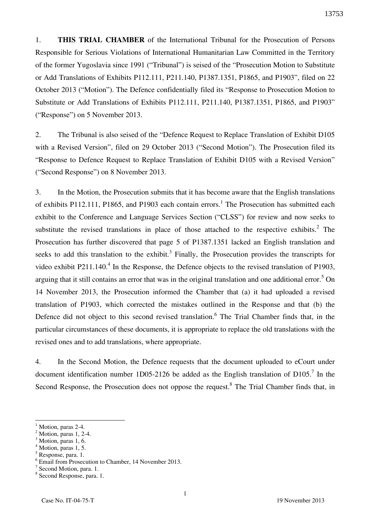1. **THIS TRIAL CHAMBER** of the International Tribunal for the Prosecution of Persons Responsible for Serious Violations of International Humanitarian Law Committed in the Territory of the former Yugoslavia since 1991 ("Tribunal") is seised of the "Prosecution Motion to Substitute or Add Translations of Exhibits P112.111, P211.140, P1387.1351, P1865, and P1903", filed on 22 October 2013 ("Motion"). The Defence confidentially filed its "Response to Prosecution Motion to Substitute or Add Translations of Exhibits P112.111, P211.140, P1387.1351, P1865, and P1903" ("Response") on 5 November 2013.

2. The Tribunal is also seised of the "Defence Request to Replace Translation of Exhibit D105 with a Revised Version", filed on 29 October 2013 ("Second Motion"). The Prosecution filed its "Response to Defence Request to Replace Translation of Exhibit D105 with a Revised Version" ("Second Response") on 8 November 2013.

3. In the Motion, the Prosecution submits that it has become aware that the English translations of exhibits P112.111, P1865, and P1903 each contain errors.<sup>1</sup> The Prosecution has submitted each exhibit to the Conference and Language Services Section ("CLSS") for review and now seeks to substitute the revised translations in place of those attached to the respective exhibits.<sup>2</sup> The Prosecution has further discovered that page 5 of P1387.1351 lacked an English translation and seeks to add this translation to the exhibit.<sup>3</sup> Finally, the Prosecution provides the transcripts for video exhibit  $P211.140$ <sup>4</sup> In the Response, the Defence objects to the revised translation of P1903, arguing that it still contains an error that was in the original translation and one additional error.<sup>5</sup> On 14 November 2013, the Prosecution informed the Chamber that (a) it had uploaded a revised translation of P1903, which corrected the mistakes outlined in the Response and that (b) the Defence did not object to this second revised translation. <sup>6</sup> The Trial Chamber finds that, in the particular circumstances of these documents, it is appropriate to replace the old translations with the revised ones and to add translations, where appropriate.

4. In the Second Motion, the Defence requests that the document uploaded to eCourt under document identification number 1D05-2126 be added as the English translation of D105.<sup>7</sup> In the Second Response, the Prosecution does not oppose the request.<sup>8</sup> The Trial Chamber finds that, in

 $\overline{a}$ 

<sup>1</sup> Motion, paras 2-4.

<sup>2</sup> Motion, paras 1, 2-4.

<sup>3</sup> Motion, paras 1, 6.

<sup>4</sup> Motion, paras 1, 5.

<sup>5</sup> Response, para. 1.

<sup>6</sup> Email from Prosecution to Chamber, 14 November 2013.

<sup>&</sup>lt;sup>7</sup> Second Motion, para. 1.

<sup>8</sup> Second Response, para. 1.